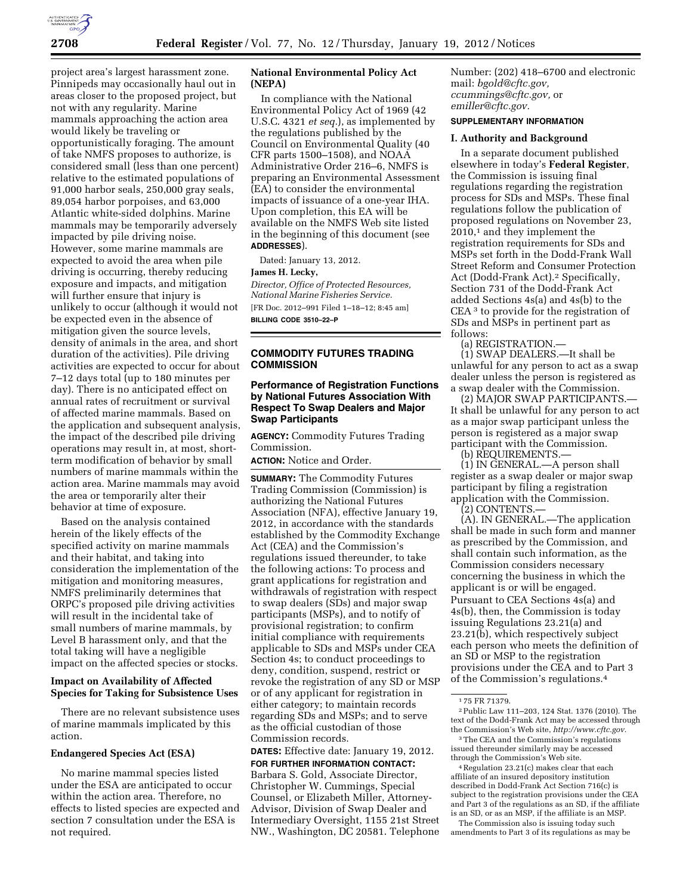

project area's largest harassment zone. Pinnipeds may occasionally haul out in areas closer to the proposed project, but not with any regularity. Marine mammals approaching the action area would likely be traveling or opportunistically foraging. The amount of take NMFS proposes to authorize, is considered small (less than one percent) relative to the estimated populations of 91,000 harbor seals, 250,000 gray seals, 89,054 harbor porpoises, and 63,000 Atlantic white-sided dolphins. Marine mammals may be temporarily adversely impacted by pile driving noise. However, some marine mammals are expected to avoid the area when pile driving is occurring, thereby reducing exposure and impacts, and mitigation will further ensure that injury is unlikely to occur (although it would not be expected even in the absence of mitigation given the source levels, density of animals in the area, and short duration of the activities). Pile driving activities are expected to occur for about 7–12 days total (up to 180 minutes per day). There is no anticipated effect on annual rates of recruitment or survival of affected marine mammals. Based on the application and subsequent analysis, the impact of the described pile driving operations may result in, at most, shortterm modification of behavior by small numbers of marine mammals within the action area. Marine mammals may avoid the area or temporarily alter their behavior at time of exposure.

Based on the analysis contained herein of the likely effects of the specified activity on marine mammals and their habitat, and taking into consideration the implementation of the mitigation and monitoring measures, NMFS preliminarily determines that ORPC's proposed pile driving activities will result in the incidental take of small numbers of marine mammals, by Level B harassment only, and that the total taking will have a negligible impact on the affected species or stocks.

# **Impact on Availability of Affected Species for Taking for Subsistence Uses**

There are no relevant subsistence uses of marine mammals implicated by this action.

#### **Endangered Species Act (ESA)**

No marine mammal species listed under the ESA are anticipated to occur within the action area. Therefore, no effects to listed species are expected and section 7 consultation under the ESA is not required.

## **National Environmental Policy Act (NEPA)**

In compliance with the National Environmental Policy Act of 1969 (42 U.S.C. 4321 *et seq.*), as implemented by the regulations published by the Council on Environmental Quality (40 CFR parts 1500–1508), and NOAA Administrative Order 216–6, NMFS is preparing an Environmental Assessment (EA) to consider the environmental impacts of issuance of a one-year IHA. Upon completion, this EA will be available on the NMFS Web site listed in the beginning of this document (see **ADDRESSES**).

Dated: January 13, 2012.

**James H. Lecky,** 

*Director, Office of Protected Resources, National Marine Fisheries Service.*  [FR Doc. 2012–991 Filed 1–18–12; 8:45 am]

**BILLING CODE 3510–22–P** 

# **COMMODITY FUTURES TRADING COMMISSION**

# **Performance of Registration Functions by National Futures Association With Respect To Swap Dealers and Major Swap Participants**

**AGENCY:** Commodity Futures Trading Commission.

**ACTION:** Notice and Order.

**SUMMARY:** The Commodity Futures Trading Commission (Commission) is authorizing the National Futures Association (NFA), effective January 19, 2012, in accordance with the standards established by the Commodity Exchange Act (CEA) and the Commission's regulations issued thereunder, to take the following actions: To process and grant applications for registration and withdrawals of registration with respect to swap dealers (SDs) and major swap participants (MSPs), and to notify of provisional registration; to confirm initial compliance with requirements applicable to SDs and MSPs under CEA Section 4s; to conduct proceedings to deny, condition, suspend, restrict or revoke the registration of any SD or MSP or of any applicant for registration in either category; to maintain records regarding SDs and MSPs; and to serve as the official custodian of those Commission records.

## **DATES:** Effective date: January 19, 2012. **FOR FURTHER INFORMATION CONTACT:**

Barbara S. Gold, Associate Director, Christopher W. Cummings, Special Counsel, or Elizabeth Miller, Attorney-Advisor, Division of Swap Dealer and Intermediary Oversight, 1155 21st Street NW., Washington, DC 20581. Telephone Number: (202) 418–6700 and electronic mail: *[bgold@cftc.gov,](mailto:bgold@cftc.gov) ccummings@cftc.gov,* or *[emiller@cftc.gov.](mailto:emiller@cftc.gov)* 

# **SUPPLEMENTARY INFORMATION**

#### **I. Authority and Background**

In a separate document published elsewhere in today's **Federal Register**, the Commission is issuing final regulations regarding the registration process for SDs and MSPs. These final regulations follow the publication of proposed regulations on November 23, 2010,1 and they implement the registration requirements for SDs and MSPs set forth in the Dodd-Frank Wall Street Reform and Consumer Protection Act (Dodd-Frank Act).2 Specifically, Section 731 of the Dodd-Frank Act added Sections 4s(a) and 4s(b) to the CEA 3 to provide for the registration of SDs and MSPs in pertinent part as follows:

(a) REGISTRATION.—

(1) SWAP DEALERS.—It shall be unlawful for any person to act as a swap dealer unless the person is registered as a swap dealer with the Commission.

(2) MAJOR SWAP PARTICIPANTS.— It shall be unlawful for any person to act as a major swap participant unless the person is registered as a major swap participant with the Commission.

(b) REQUIREMENTS.—

(1) IN GENERAL.—A person shall register as a swap dealer or major swap participant by filing a registration application with the Commission.

(2) CONTENTS.—

(A). IN GENERAL.—The application shall be made in such form and manner as prescribed by the Commission, and shall contain such information, as the Commission considers necessary concerning the business in which the applicant is or will be engaged. Pursuant to CEA Sections 4s(a) and 4s(b), then, the Commission is today issuing Regulations 23.21(a) and 23.21(b), which respectively subject each person who meets the definition of an SD or MSP to the registration provisions under the CEA and to Part 3 of the Commission's regulations.4

2Public Law 111–203, 124 Stat. 1376 (2010). The text of the Dodd-Frank Act may be accessed through the Commission's Web site, *[http://www.cftc.gov.](http://www.cftc.gov)* 

3The CEA and the Commission's regulations issued thereunder similarly may be accessed through the Commission's Web site.

4Regulation 23.21(c) makes clear that each affiliate of an insured depository institution described in Dodd-Frank Act Section 716(c) is subject to the registration provisions under the CEA and Part 3 of the regulations as an SD, if the affiliate is an SD, or as an MSP, if the affiliate is an MSP.

The Commission also is issuing today such amendments to Part 3 of its regulations as may be

<sup>1</sup> 75 FR 71379.